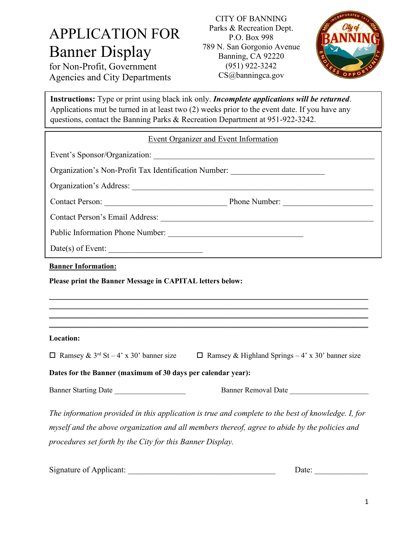# APPLICATION FOR Banner Display

for Non-Profit, Government Agencies and City Departments

CITY OF BANNING Parks & Recreation Dept. P.O. Box 998 789 N. San Gorgonio Avenue Banning, CA 92220 (951) 922-3242 CS@banningca.gov



**Instructions:** Type or print using black ink only. *Incomplete applications will be returned*. Applications mut be turned in at least two (2) weeks prior to the event date. If you have any questions, contact the Banning Parks & Recreation Department at 951-922-3242.

| Event Organizer and Event Information                                                                                                                                                                                                                            |  |  |
|------------------------------------------------------------------------------------------------------------------------------------------------------------------------------------------------------------------------------------------------------------------|--|--|
|                                                                                                                                                                                                                                                                  |  |  |
| Organization's Non-Profit Tax Identification Number: ___________________________                                                                                                                                                                                 |  |  |
| Organization's Address:                                                                                                                                                                                                                                          |  |  |
| Contact Person: Phone Number: Phone Number:                                                                                                                                                                                                                      |  |  |
| Contact Person's Email Address:                                                                                                                                                                                                                                  |  |  |
|                                                                                                                                                                                                                                                                  |  |  |
| $Date(s)$ of Event:                                                                                                                                                                                                                                              |  |  |
| <b>Banner Information:</b><br>Please print the Banner Message in CAPITAL letters below:                                                                                                                                                                          |  |  |
| Location:                                                                                                                                                                                                                                                        |  |  |
| $\Box$ Ramsey & 3 <sup>rd</sup> St – 4' x 30' banner size $\Box$ Ramsey & Highland Springs – 4' x 30' banner size                                                                                                                                                |  |  |
| Dates for the Banner (maximum of 30 days per calendar year):                                                                                                                                                                                                     |  |  |
| Banner Starting Date<br>Banner Removal Date                                                                                                                                                                                                                      |  |  |
| The information provided in this application is true and complete to the best of knowledge. I, for<br>myself and the above organization and all members thereof, agree to abide by the policies and<br>procedures set forth by the City for this Banner Display. |  |  |

| Signature of Applicant: |  |
|-------------------------|--|
|-------------------------|--|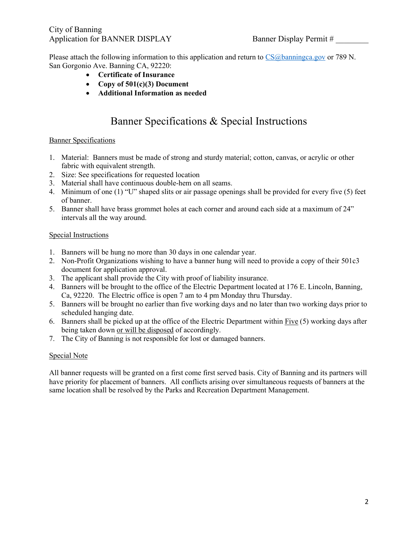### City of Banning Application for BANNER DISPLAY Banner Display Permit #

Please attach the following information to this application and return to [CS@banningca.gov](mailto:CS@banningca.gov) or 789 N. San Gorgonio Ave. Banning CA, 92220:

- **Certificate of Insurance**
- **Copy of 501(c)(3) Document**
- **Additional Information as needed**

## Banner Specifications & Special Instructions

#### Banner Specifications

- 1. Material: Banners must be made of strong and sturdy material; cotton, canvas, or acrylic or other fabric with equivalent strength.
- 2. Size: See specifications for requested location
- 3. Material shall have continuous double-hem on all seams.
- 4. Minimum of one (1) "U" shaped slits or air passage openings shall be provided for every five (5) feet of banner.
- 5. Banner shall have brass grommet holes at each corner and around each side at a maximum of 24" intervals all the way around.

#### Special Instructions

- 1. Banners will be hung no more than 30 days in one calendar year.
- 2. Non-Profit Organizations wishing to have a banner hung will need to provide a copy of their 501c3 document for application approval.
- 3. The applicant shall provide the City with proof of liability insurance.
- 4. Banners will be brought to the office of the Electric Department located at 176 E. Lincoln, Banning, Ca, 92220. The Electric office is open 7 am to 4 pm Monday thru Thursday.
- 5. Banners will be brought no earlier than five working days and no later than two working days prior to scheduled hanging date.
- 6. Banners shall be picked up at the office of the Electric Department within  $Five(5)$  working days after being taken down or will be disposed of accordingly.
- 7. The City of Banning is not responsible for lost or damaged banners.

#### Special Note

All banner requests will be granted on a first come first served basis. City of Banning and its partners will have priority for placement of banners. All conflicts arising over simultaneous requests of banners at the same location shall be resolved by the Parks and Recreation Department Management.